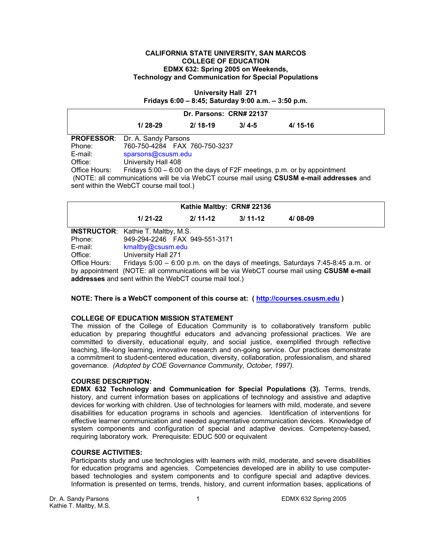### **CALIFORNIA STATE UNIVERSITY, SAN MARCOS COLLEGE OF EDUCATION EDMX 632: Spring 2005 on Weekends, Technology and Communication for Special Populations**

**University Hall 271 Fridays 6:00 – 8:45; Saturday 9:00 a.m. – 3:50 p.m.** 

| Dr. Parsons: CRN# 22137                                                                                                              |                                                                         |           |           |           |  |  |
|--------------------------------------------------------------------------------------------------------------------------------------|-------------------------------------------------------------------------|-----------|-----------|-----------|--|--|
|                                                                                                                                      | $1/28-29$                                                               | $2/18-19$ | $3/4 - 5$ | $4/15-16$ |  |  |
| <b>PROFESSOR:</b>                                                                                                                    | Dr. A. Sandy Parsons                                                    |           |           |           |  |  |
| Phone:                                                                                                                               | 760-750-4284 FAX 760-750-3237                                           |           |           |           |  |  |
| E-mail:                                                                                                                              | sparsons@csusm.edu                                                      |           |           |           |  |  |
| Office:                                                                                                                              | University Hall 408                                                     |           |           |           |  |  |
| Office Hours:                                                                                                                        | Fridays 5:00 – 6:00 on the days of F2F meetings, p.m. or by appointment |           |           |           |  |  |
| (NOTE: all communications will be via WebCT course mail using CSUSM e-mail addresses and<br>sent within the WebCT course mail tool.) |                                                                         |           |           |           |  |  |

| Kathie Maltby: CRN# 22136                                                                 |                                                                               |                                |             |             |  |  |
|-------------------------------------------------------------------------------------------|-------------------------------------------------------------------------------|--------------------------------|-------------|-------------|--|--|
|                                                                                           | $1/21-22$                                                                     | $2/11-12$                      | $3/11 - 12$ | $4/08 - 09$ |  |  |
|                                                                                           | <b>INSTRUCTOR:</b> Kathie T. Maltby, M.S.                                     |                                |             |             |  |  |
| Phone:                                                                                    |                                                                               | 949-294-2246  FAX 949-551-3171 |             |             |  |  |
| E-mail:                                                                                   | kmaltby@csusm.edu                                                             |                                |             |             |  |  |
| Office:                                                                                   | University Hall 271                                                           |                                |             |             |  |  |
| Office Hours:                                                                             | Fridays 5:00 - 6:00 p.m. on the days of meetings, Saturdays 7:45-8:45 a.m. or |                                |             |             |  |  |
| by appointment (NOTE: all communications will be via WebCT course mail using CSUSM e-mail |                                                                               |                                |             |             |  |  |
| addresses and sent within the WebCT course mail tool.)                                    |                                                                               |                                |             |             |  |  |

## **NOTE: There is a WebCT component of this course at: ( http://courses.csusm.edu )**

### **COLLEGE OF EDUCATION MISSION STATEMENT**

The mission of the College of Education Community is to collaboratively transform public education by preparing thoughtful educators and advancing professional practices. We are committed to diversity, educational equity, and social justice, exemplified through reflective teaching, life-long learning, innovative research and on-going service. Our practices demonstrate a commitment to student-centered education, diversity, collaboration, professionalism, and shared governance. *(Adopted by COE Governance Community, October, 1997).* 

### **COURSE DESCRIPTION:**

**EDMX 632 Technology and Communication for Special Populations (3).** Terms, trends, history, and current information bases on applications of technology and assistive and adaptive devices for working with children. Use of technologies for learners with mild, moderate, and severe disabilities for education programs in schools and agencies. Identification of interventions for effective learner communication and needed augmentative communication devices. Knowledge of system components and configuration of special and adaptive devices. Competency-based, requiring laboratory work. Prerequisite: EDUC 500 or equivalent

#### **COURSE ACTIVITIES:**

Participants study and use technologies with learners with mild, moderate, and severe disabilities for education programs and agencies. Competencies developed are in ability to use computerbased technologies and system components and to configure special and adaptive devices. Information is presented on terms, trends, history, and current information bases, applications of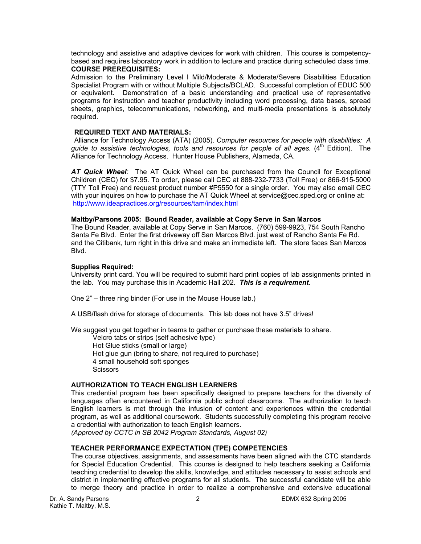technology and assistive and adaptive devices for work with children. This course is competencybased and requires laboratory work in addition to lecture and practice during scheduled class time. **COURSE PREREQUISITES:** 

Admission to the Preliminary Level I Mild/Moderate & Moderate/Severe Disabilities Education Specialist Program with or without Multiple Subjects/BCLAD. Successful completion of EDUC 500 or equivalent. Demonstration of a basic understanding and practical use of representative programs for instruction and teacher productivity including word processing, data bases, spread sheets, graphics, telecommunications, networking, and multi-media presentations is absolutely required.

### **REQUIRED TEXT AND MATERIALS:**

 Alliance for Technology Access (ATA) (2005). *Computer resources for people with disabilities: A guide to assistive technologies, tools and resources for people of all ages.* (4th Edition). The Alliance for Technology Access. Hunter House Publishers, Alameda, CA.

*AT Quick Wheel:* The AT Quick Wheel can be purchased from the Council for Exceptional Children (CEC) for \$7.95. To order, please call CEC at 888-232-7733 (Toll Free) or 866-915-5000 (TTY Toll Free) and request product number #P5550 for a single order. You may also email CEC with your inquires on how to purchase the AT Quick Wheel at service@cec.sped.org or online at: http://www.ideapractices.org/resources/tam/index.html

## **Maltby/Parsons 2005: Bound Reader, available at Copy Serve in San Marcos**

The Bound Reader, available at Copy Serve in San Marcos. (760) 599-9923, 754 South Rancho Santa Fe Blvd. Enter the first driveway off San Marcos Blvd. just west of Rancho Santa Fe Rd. and the Citibank, turn right in this drive and make an immediate left. The store faces San Marcos Blvd.

## **Supplies Required:**

University print card. You will be required to submit hard print copies of lab assignments printed in the lab. You may purchase this in Academic Hall 202. *This is a requirement*.

One 2" – three ring binder (For use in the Mouse House lab.)

A USB/flash drive for storage of documents. This lab does not have 3.5" drives!

We suggest you get together in teams to gather or purchase these materials to share.

 Velcro tabs or strips (self adhesive type) Hot Glue sticks (small or large) Hot glue gun (bring to share, not required to purchase) 4 small household soft sponges **Scissors** 

## **AUTHORIZATION TO TEACH ENGLISH LEARNERS**

This credential program has been specifically designed to prepare teachers for the diversity of languages often encountered in California public school classrooms. The authorization to teach English learners is met through the infusion of content and experiences within the credential program, as well as additional coursework. Students successfully completing this program receive a credential with authorization to teach English learners.

*(Approved by CCTC in SB 2042 Program Standards, August 02)*

## **TEACHER PERFORMANCE EXPECTATION (TPE) COMPETENCIES**

The course objectives, assignments, and assessments have been aligned with the CTC standards for Special Education Credential. This course is designed to help teachers seeking a California teaching credential to develop the skills, knowledge, and attitudes necessary to assist schools and district in implementing effective programs for all students. The successful candidate will be able to merge theory and practice in order to realize a comprehensive and extensive educational

Dr. A. Sandy Parsons 2 EDMX 632 Spring 2005 Kathie T. Maltby, M.S.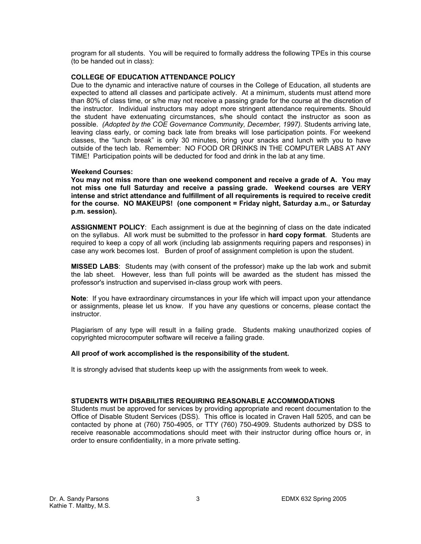program for all students. You will be required to formally address the following TPEs in this course (to be handed out in class):

## **COLLEGE OF EDUCATION ATTENDANCE POLICY**

Due to the dynamic and interactive nature of courses in the College of Education, all students are expected to attend all classes and participate actively. At a minimum, students must attend more than 80% of class time, or s/he may not receive a passing grade for the course at the discretion of the instructor. Individual instructors may adopt more stringent attendance requirements. Should the student have extenuating circumstances, s/he should contact the instructor as soon as possible. *(Adopted by the COE Governance Community, December, 1997).* Students arriving late, leaving class early, or coming back late from breaks will lose participation points. For weekend classes, the "lunch break" is only 30 minutes, bring your snacks and lunch with you to have outside of the tech lab. Remember: NO FOOD OR DRINKS IN THE COMPUTER LABS AT ANY TIME! Participation points will be deducted for food and drink in the lab at any time.

## **Weekend Courses:**

**You may not miss more than one weekend component and receive a grade of A. You may not miss one full Saturday and receive a passing grade. Weekend courses are VERY intense and strict attendance and fulfillment of all requirements is required to receive credit for the course. NO MAKEUPS! (one component = Friday night, Saturday a.m., or Saturday p.m. session).** 

**ASSIGNMENT POLICY**: Each assignment is due at the beginning of class on the date indicated on the syllabus. All work must be submitted to the professor in **hard copy format**. Students are required to keep a copy of all work (including lab assignments requiring papers and responses) in case any work becomes lost. Burden of proof of assignment completion is upon the student.

**MISSED LABS**: Students may (with consent of the professor) make up the lab work and submit the lab sheet. However, less than full points will be awarded as the student has missed the professor's instruction and supervised in-class group work with peers.

**Note**: If you have extraordinary circumstances in your life which will impact upon your attendance or assignments, please let us know. If you have any questions or concerns, please contact the instructor.

Plagiarism of any type will result in a failing grade. Students making unauthorized copies of copyrighted microcomputer software will receive a failing grade.

## **All proof of work accomplished is the responsibility of the student.**

It is strongly advised that students keep up with the assignments from week to week.

### **STUDENTS WITH DISABILITIES REQUIRING REASONABLE ACCOMMODATIONS**

Students must be approved for services by providing appropriate and recent documentation to the Office of Disable Student Services (DSS). This office is located in Craven Hall 5205, and can be contacted by phone at (760) 750-4905, or TTY (760) 750-4909. Students authorized by DSS to receive reasonable accommodations should meet with their instructor during office hours or, in order to ensure confidentiality, in a more private setting.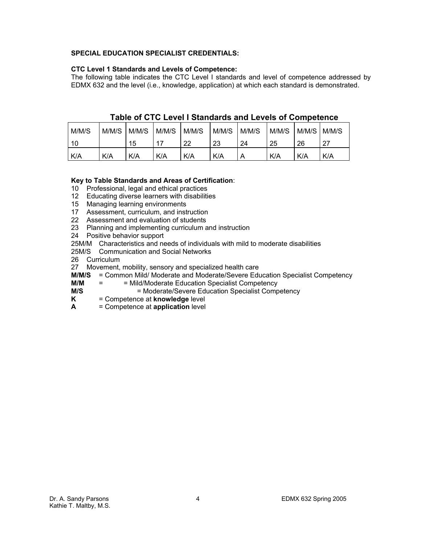## **SPECIAL EDUCATION SPECIALIST CREDENTIALS:**

## **CTC Level 1 Standards and Levels of Competence:**

The following table indicates the CTC Level I standards and level of competence addressed by EDMX 632 and the level (i.e., knowledge, application) at which each standard is demonstrated.

| M/M/S | M/M/S | M/M/S | M/M/S | M/M/S | M/M/S | M/M/S | M/M/S | M/M/S | M/M/S |
|-------|-------|-------|-------|-------|-------|-------|-------|-------|-------|
| 10    |       | 15    | 17    | 22    | 23    | 24    | 25    | 26    | . ລ=  |
| K/A   | K/A   | K/A   | K/A   | K/A   | K/A   | Α     | K/A   | K/A   | K/A   |

# **Table of CTC Level I Standards and Levels of Competence**

## **Key to Table Standards and Areas of Certification**:

10 Professional, legal and ethical practices

- 12 Educating diverse learners with disabilities
- 15 Managing learning environments
- 17 Assessment, curriculum, and instruction
- 22 Assessment and evaluation of students
- 23 Planning and implementing curriculum and instruction
- 24 Positive behavior support
- 25M/M Characteristics and needs of individuals with mild to moderate disabilities
- 25M/S Communication and Social Networks
- 26 Curriculum
- 27 Movement, mobility, sensory and specialized health care
- **M/M/S** = Common Mild/ Moderate and Moderate/Severe Education Specialist Competency
- **M/M** = = Mild/Moderate Education Specialist Competency
- **M/S** = Moderate/Severe Education Specialist Competency
- **K** = Competence at **knowledge** level
- **A** = Competence at **application** level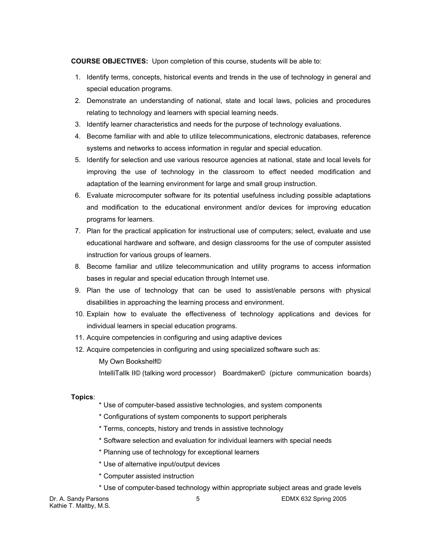**COURSE OBJECTIVES:** Upon completion of this course, students will be able to:

- 1. Identify terms, concepts, historical events and trends in the use of technology in general and special education programs.
- 2. Demonstrate an understanding of national, state and local laws, policies and procedures relating to technology and learners with special learning needs.
- 3. Identify learner characteristics and needs for the purpose of technology evaluations.
- 4. Become familiar with and able to utilize telecommunications, electronic databases, reference systems and networks to access information in regular and special education.
- 5. Identify for selection and use various resource agencies at national, state and local levels for improving the use of technology in the classroom to effect needed modification and adaptation of the learning environment for large and small group instruction.
- 6. Evaluate microcomputer software for its potential usefulness including possible adaptations and modification to the educational environment and/or devices for improving education programs for learners.
- 7. Plan for the practical application for instructional use of computers; select, evaluate and use educational hardware and software, and design classrooms for the use of computer assisted instruction for various groups of learners.
- 8. Become familiar and utilize telecommunication and utility programs to access information bases in regular and special education through Internet use.
- 9. Plan the use of technology that can be used to assist/enable persons with physical disabilities in approaching the learning process and environment.
- 10. Explain how to evaluate the effectiveness of technology applications and devices for individual learners in special education programs.
- 11. Acquire competencies in configuring and using adaptive devices
- 12. Acquire competencies in configuring and using specialized software such as:
	- My Own Bookshelf©

IntelliTallk II© (talking word processor) Boardmaker© (picture communication boards)

### **Topics**:

- \* Use of computer-based assistive technologies, and system components
- \* Configurations of system components to support peripherals
- \* Terms, concepts, history and trends in assistive technology
- \* Software selection and evaluation for individual learners with special needs
- \* Planning use of technology for exceptional learners
- \* Use of alternative input/output devices
- \* Computer assisted instruction
- \* Use of computer-based technology within appropriate subject areas and grade levels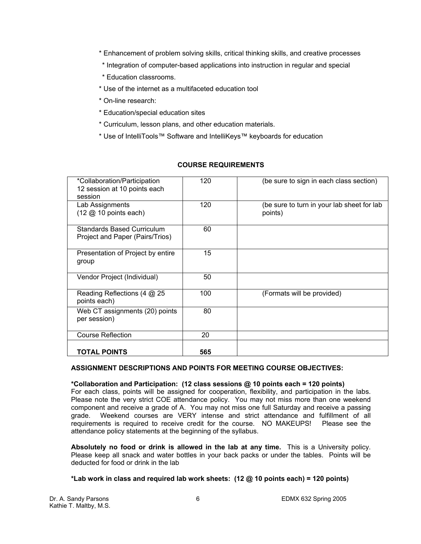- \* Enhancement of problem solving skills, critical thinking skills, and creative processes
- \* Integration of computer-based applications into instruction in regular and special
- \* Education classrooms.
- \* Use of the internet as a multifaceted education tool
- \* On-line research:
- \* Education/special education sites
- \* Curriculum, lesson plans, and other education materials.
- \* Use of IntelliTools™ Software and IntelliKeys™ keyboards for education

| *Collaboration/Participation<br>12 session at 10 points each<br>session   | 120 | (be sure to sign in each class section)               |
|---------------------------------------------------------------------------|-----|-------------------------------------------------------|
| Lab Assignments<br>$(12 \text{ } \textcircled{2} 10 \text{ points each})$ | 120 | (be sure to turn in your lab sheet for lab<br>points) |
| <b>Standards Based Curriculum</b><br>Project and Paper (Pairs/Trios)      | 60  |                                                       |
| Presentation of Project by entire<br>group                                | 15  |                                                       |
| Vendor Project (Individual)                                               | 50  |                                                       |
| Reading Reflections (4 @ 25<br>points each)                               | 100 | (Formats will be provided)                            |
| Web CT assignments (20) points<br>per session)                            | 80  |                                                       |
| <b>Course Reflection</b>                                                  | 20  |                                                       |
| <b>TOTAL POINTS</b>                                                       | 565 |                                                       |

## **COURSE REQUIREMENTS**

## **ASSIGNMENT DESCRIPTIONS AND POINTS FOR MEETING COURSE OBJECTIVES:**

### **\*Collaboration and Participation: (12 class sessions @ 10 points each = 120 points)**

For each class, points will be assigned for cooperation, flexibility, and participation in the labs. Please note the very strict COE attendance policy. You may not miss more than one weekend component and receive a grade of A. You may not miss one full Saturday and receive a passing grade. Weekend courses are VERY intense and strict attendance and fulfillment of all requirements is required to receive credit for the course. NO MAKEUPS! Please see the attendance policy statements at the beginning of the syllabus.

**Absolutely no food or drink is allowed in the lab at any time.** This is a University policy. Please keep all snack and water bottles in your back packs or under the tables. Points will be deducted for food or drink in the lab

## **\*Lab work in class and required lab work sheets: (12 @ 10 points each) = 120 points)**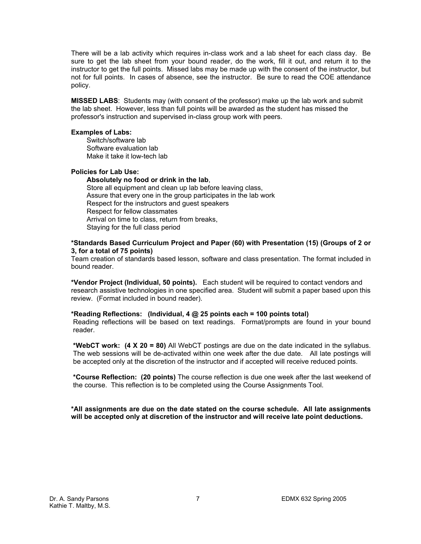There will be a lab activity which requires in-class work and a lab sheet for each class day. Be sure to get the lab sheet from your bound reader, do the work, fill it out, and return it to the instructor to get the full points. Missed labs may be made up with the consent of the instructor, but not for full points. In cases of absence, see the instructor. Be sure to read the COE attendance policy.

**MISSED LABS**: Students may (with consent of the professor) make up the lab work and submit the lab sheet. However, less than full points will be awarded as the student has missed the professor's instruction and supervised in-class group work with peers.

### **Examples of Labs:**

Switch/software lab Software evaluation lab Make it take it low-tech lab

### **Policies for Lab Use:**

**Absolutely no food or drink in the lab**, Store all equipment and clean up lab before leaving class, Assure that every one in the group participates in the lab work Respect for the instructors and guest speakers Respect for fellow classmates Arrival on time to class, return from breaks, Staying for the full class period

### **\*Standards Based Curriculum Project and Paper (60) with Presentation (15) (Groups of 2 or 3, for a total of 75 points)**

Team creation of standards based lesson, software and class presentation. The format included in bound reader.

**\*Vendor Project (Individual, 50 points).** Each student will be required to contact vendors and research assistive technologies in one specified area. Student will submit a paper based upon this review. (Format included in bound reader).

#### **\*Reading Reflections: (Individual, 4 @ 25 points each = 100 points total)**

Reading reflections will be based on text readings. Format/prompts are found in your bound reader.

**\*WebCT work: (4 X 20 = 80)** All WebCT postings are due on the date indicated in the syllabus. The web sessions will be de-activated within one week after the due date. All late postings will be accepted only at the discretion of the instructor and if accepted will receive reduced points.

**\*Course Reflection: (20 points)** The course reflection is due one week after the last weekend of the course. This reflection is to be completed using the Course Assignments Tool.

**\*All assignments are due on the date stated on the course schedule. All late assignments will be accepted only at discretion of the instructor and will receive late point deductions.**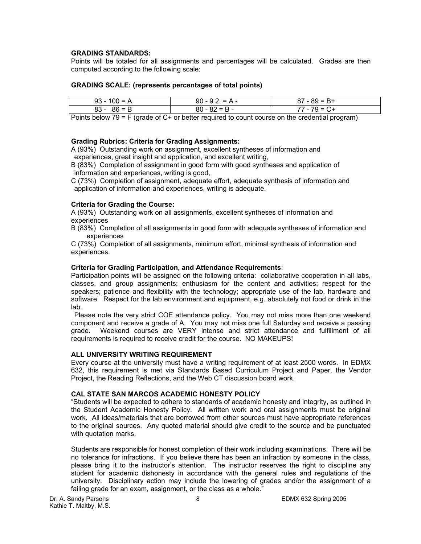## **GRADING STANDARDS:**

Points will be totaled for all assignments and percentages will be calculated. Grades are then computed according to the following scale:

### **GRADING SCALE: (represents percentages of total points)**

| $93 - 100 = A$ | $90 - 92 = A -$ | $87 - 89 = B +$ |
|----------------|-----------------|-----------------|
| $83 - 86 = B$  | $80 - 82 = B -$ | 77 - 79 = C+    |

Points below 79 = F (grade of C+ or better required to count course on the credential program)

## **Grading Rubrics: Criteria for Grading Assignments:**

A (93%) Outstanding work on assignment, excellent syntheses of information and experiences, great insight and application, and excellent writing,

B (83%) Completion of assignment in good form with good syntheses and application of information and experiences, writing is good,

C (73%) Completion of assignment, adequate effort, adequate synthesis of information and application of information and experiences, writing is adequate.

### **Criteria for Grading the Course:**

A (93%) Outstanding work on all assignments, excellent syntheses of information and experiences

B (83%) Completion of all assignments in good form with adequate syntheses of information and experiences

C (73%) Completion of all assignments, minimum effort, minimal synthesis of information and experiences.

## **Criteria for Grading Participation, and Attendance Requirements**:

Participation points will be assigned on the following criteria: collaborative cooperation in all labs, classes, and group assignments; enthusiasm for the content and activities; respect for the speakers; patience and flexibility with the technology; appropriate use of the lab, hardware and software. Respect for the lab environment and equipment, e.g. absolutely not food or drink in the lab.

 Please note the very strict COE attendance policy. You may not miss more than one weekend component and receive a grade of A. You may not miss one full Saturday and receive a passing grade. Weekend courses are VERY intense and strict attendance and fulfillment of all requirements is required to receive credit for the course. NO MAKEUPS!

### **ALL UNIVERSITY WRITING REQUIREMENT**

Every course at the university must have a writing requirement of at least 2500 words. In EDMX 632, this requirement is met via Standards Based Curriculum Project and Paper, the Vendor Project, the Reading Reflections, and the Web CT discussion board work.

### **CAL STATE SAN MARCOS ACADEMIC HONESTY POLICY**

"Students will be expected to adhere to standards of academic honesty and integrity, as outlined in the Student Academic Honesty Policy. All written work and oral assignments must be original work. All ideas/materials that are borrowed from other sources must have appropriate references to the original sources. Any quoted material should give credit to the source and be punctuated with quotation marks.

Students are responsible for honest completion of their work including examinations. There will be no tolerance for infractions. If you believe there has been an infraction by someone in the class, please bring it to the instructor's attention. The instructor reserves the right to discipline any student for academic dishonesty in accordance with the general rules and regulations of the university. Disciplinary action may include the lowering of grades and/or the assignment of a failing grade for an exam, assignment, or the class as a whole."